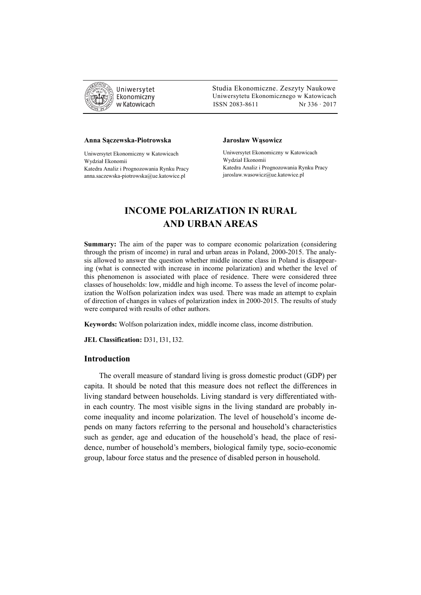

 Studia Ekonomiczne. Zeszyty Naukowe Ekonomiczny Uniwersytetu Ekonomicznego w Katowicach w Katowicach Matsus (ISSN 2083-8611 Nr 336 · 2017

#### **Anna Sączewska-Piotrowska**

Uniwersytet Ekonomiczny w Katowicach Wydział Ekonomii Katedra Analiz i Prognozowania Rynku Pracy anna.saczewska-piotrowska@ue.katowice.pl

#### **Jarosław Wąsowicz**

Uniwersytet Ekonomiczny w Katowicach Wydział Ekonomii Katedra Analiz i Prognozowania Rynku Pracy jaroslaw.wasowicz@ue.katowice.pl

# **INCOME POLARIZATION IN RURAL AND URBAN AREAS**

**Summary:** The aim of the paper was to compare economic polarization (considering through the prism of income) in rural and urban areas in Poland, 2000-2015. The analysis allowed to answer the question whether middle income class in Poland is disappearing (what is connected with increase in income polarization) and whether the level of this phenomenon is associated with place of residence. There were considered three classes of households: low, middle and high income. To assess the level of income polarization the Wolfson polarization index was used. There was made an attempt to explain of direction of changes in values of polarization index in 2000-2015. The results of study were compared with results of other authors.

**Keywords:** Wolfson polarization index, middle income class, income distribution.

**JEL Classification:** D31, I31, I32.

## **Introduction**

The overall measure of standard living is gross domestic product (GDP) per capita. It should be noted that this measure does not reflect the differences in living standard between households. Living standard is very differentiated within each country. The most visible signs in the living standard are probably income inequality and income polarization. The level of household's income depends on many factors referring to the personal and household's characteristics such as gender, age and education of the household's head, the place of residence, number of household's members, biological family type, socio-economic group, labour force status and the presence of disabled person in household.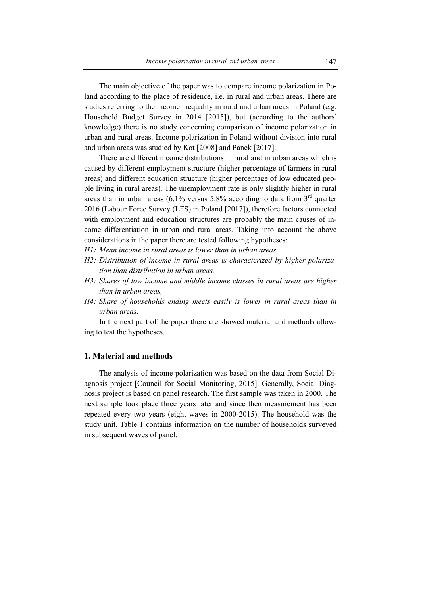The main objective of the paper was to compare income polarization in Poland according to the place of residence, i.e. in rural and urban areas. There are studies referring to the income inequality in rural and urban areas in Poland (e.g. Household Budget Survey in 2014 [2015]), but (according to the authors' knowledge) there is no study concerning comparison of income polarization in urban and rural areas. Income polarization in Poland without division into rural and urban areas was studied by Kot [2008] and Panek [2017].

There are different income distributions in rural and in urban areas which is caused by different employment structure (higher percentage of farmers in rural areas) and different education structure (higher percentage of low educated people living in rural areas). The unemployment rate is only slightly higher in rural areas than in urban areas (6.1% versus  $5.8\%$  according to data from  $3<sup>rd</sup>$  quarter 2016 (Labour Force Survey (LFS) in Poland [2017]), therefore factors connected with employment and education structures are probably the main causes of income differentiation in urban and rural areas. Taking into account the above considerations in the paper there are tested following hypotheses:

- *H1: Mean income in rural areas is lower than in urban areas,*
- *H2: Distribution of income in rural areas is characterized by higher polarization than distribution in urban areas,*
- *H3: Shares of low income and middle income classes in rural areas are higher than in urban areas,*
- *H4: Share of households ending meets easily is lower in rural areas than in urban areas.*

In the next part of the paper there are showed material and methods allowing to test the hypotheses.

## **1. Material and methods**

The analysis of income polarization was based on the data from Social Diagnosis project [Council for Social Monitoring, 2015]. Generally, Social Diagnosis project is based on panel research. The first sample was taken in 2000. The next sample took place three years later and since then measurement has been repeated every two years (eight waves in 2000-2015). The household was the study unit. Table 1 contains information on the number of households surveyed in subsequent waves of panel.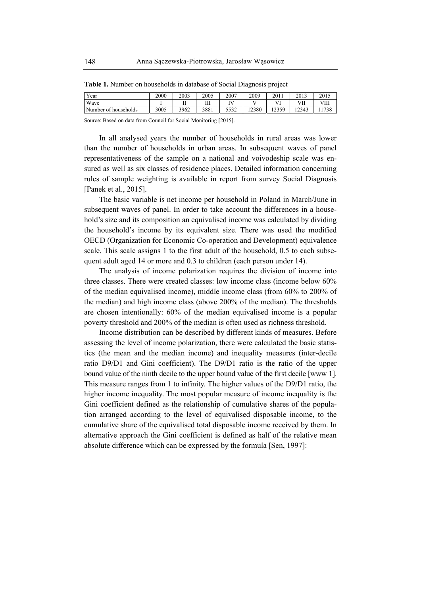| <b>X</b> F<br>′ear      | 2000 | 2003 | 2005          | 2007          | 2009  | 2011            | 2013                     | 2015       |
|-------------------------|------|------|---------------|---------------|-------|-----------------|--------------------------|------------|
| Wave                    |      |      | <b>TT</b><br> | <b>TY</b> T   | . .   | 37 T            | 3 7 T T<br>v<br>$\cdots$ | ∨Ш         |
| Number of<br>households | 3005 | 3962 | 3881          | 5.522<br>3332 | 12380 | 12350<br>ر رے د | 2343<br>ر ہے ا           | 1720<br>эс |

**Table 1.** Number on households in database of Social Diagnosis project

Source: Based on data from Council for Social Monitoring [2015].

In all analysed years the number of households in rural areas was lower than the number of households in urban areas. In subsequent waves of panel representativeness of the sample on a national and voivodeship scale was ensured as well as six classes of residence places. Detailed information concerning rules of sample weighting is available in report from survey Social Diagnosis [Panek et al., 2015].

The basic variable is net income per household in Poland in March/June in subsequent waves of panel. In order to take account the differences in a household's size and its composition an equivalised income was calculated by dividing the household's income by its equivalent size. There was used the modified OECD (Organization for Economic Co-operation and Development) equivalence scale. This scale assigns 1 to the first adult of the household, 0.5 to each subsequent adult aged 14 or more and 0.3 to children (each person under 14).

The analysis of income polarization requires the division of income into three classes. There were created classes: low income class (income below 60% of the median equivalised income), middle income class (from 60% to 200% of the median) and high income class (above 200% of the median). The thresholds are chosen intentionally: 60% of the median equivalised income is a popular poverty threshold and 200% of the median is often used as richness threshold.

Income distribution can be described by different kinds of measures. Before assessing the level of income polarization, there were calculated the basic statistics (the mean and the median income) and inequality measures (inter-decile ratio D9/D1 and Gini coefficient). The D9/D1 ratio is the ratio of the upper bound value of the ninth decile to the upper bound value of the first decile [www 1]. This measure ranges from 1 to infinity. The higher values of the D9/D1 ratio, the higher income inequality. The most popular measure of income inequality is the Gini coefficient defined as the relationship of cumulative shares of the population arranged according to the level of equivalised disposable income, to the cumulative share of the equivalised total disposable income received by them. In alternative approach the Gini coefficient is defined as half of the relative mean absolute difference which can be expressed by the formula [Sen, 1997]: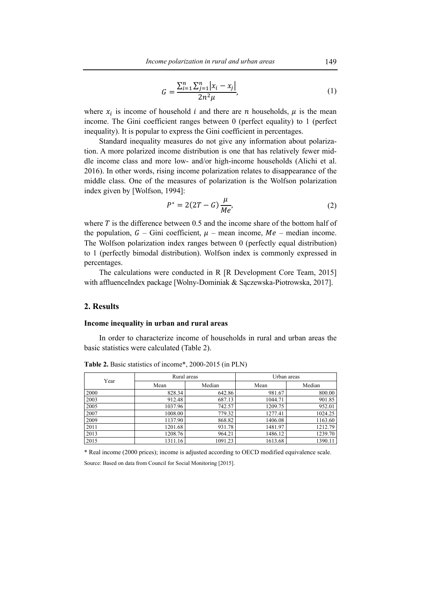$$
G = \frac{\sum_{i=1}^{n} \sum_{j=1}^{n} |x_i - x_j|}{2n^2 \mu},
$$
\n(1)

where  $x_i$  is income of household *i* and there are *n* households,  $\mu$  is the mean income. The Gini coefficient ranges between 0 (perfect equality) to 1 (perfect inequality). It is popular to express the Gini coefficient in percentages.

Standard inequality measures do not give any information about polarization. A more polarized income distribution is one that has relatively fewer middle income class and more low- and/or high-income households (Alichi et al. 2016). In other words, rising income polarization relates to disappearance of the middle class. One of the measures of polarization is the Wolfson polarization index given by [Wolfson, 1994]:

$$
P^* = 2(2T - G)\frac{\mu}{Me'},
$$
 (2)

where  $T$  is the difference between 0.5 and the income share of the bottom half of the population,  $G$  – Gini coefficient,  $\mu$  – mean income,  $Me$  – median income. The Wolfson polarization index ranges between 0 (perfectly equal distribution) to 1 (perfectly bimodal distribution). Wolfson index is commonly expressed in percentages.

The calculations were conducted in R [R Development Core Team, 2015] with affluenceIndex package [Wolny-Dominiak & Sączewska-Piotrowska, 2017].

# **2. Results**

#### **Income inequality in urban and rural areas**

In order to characterize income of households in rural and urban areas the basic statistics were calculated (Table 2).

| Year |         | Rural areas | Urban areas |         |  |
|------|---------|-------------|-------------|---------|--|
|      | Mean    | Median      | Mean        | Median  |  |
| 2000 | 828.34  | 642.86      | 981.67      | 800.00  |  |
| 2003 | 912.48  | 687.13      | 1044.71     | 901.85  |  |
| 2005 | 1037.96 | 742.57      | 1209.75     | 952.01  |  |
| 2007 | 1008.00 | 779.32      | 1277.41     | 1024.25 |  |
| 2009 | 1137.90 | 868.82      | 1406.08     | 1163.60 |  |
| 2011 | 1201.68 | 931.78      | 1481.97     | 1212.79 |  |
| 2013 | 1208.76 | 964.21      | 1486.12     | 1239.70 |  |
| 2015 | 1311.16 | 1091.23     | 1613.68     | 1390.11 |  |

**Table 2.** Basic statistics of income\*, 2000-2015 (in PLN)

\* Real income (2000 prices); income is adjusted according to OECD modified equivalence scale.

Source: Based on data from Council for Social Monitoring [2015].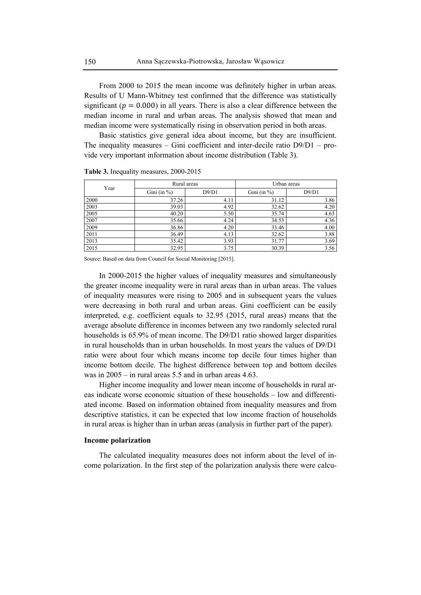From 2000 to 2015 the mean income was definitely higher in urban areas. Results of U Mann-Whitney test confirmed that the difference was statistically significant ( $p = 0.000$ ) in all years. There is also a clear difference between the median income in rural and urban areas. The analysis showed that mean and median income were systematically rising in observation period in both areas.

Basic statistics give general idea about income, but they are insufficient. The inequality measures – Gini coefficient and inter-decile ratio  $D9/D1 - pro$ vide very important information about income distribution (Table 3).

| Year |                 | Rural areas | Urban areas     |       |  |
|------|-----------------|-------------|-----------------|-------|--|
|      | Gini (in $\%$ ) | D9/D1       | Gini (in $\%$ ) | D9/D1 |  |
| 2000 | 37.26           | 4.11        | 31.12           | 3.86  |  |
| 2003 | 39.03           | 4.92        | 32.62           | 4.20  |  |
| 2005 | 40.20           | 5.50        | 35.74           | 4.63  |  |
| 2007 | 35.66           | 4.24        | 34.53           | 4.36  |  |
| 2009 | 36.86           | 4.20        | 33.46           | 4.00  |  |
| 2011 | 36.49           | 4.13        | 32.62           | 3.88  |  |
| 2013 | 35.42           | 3.93        | 31.77           | 3.69  |  |
| 2015 | 32.95           | 3.75        | 30.39           | 3.56  |  |

**Table 3.** Inequality measures, 2000-2015

Source: Based on data from Council for Social Monitoring [2015].

In 2000-2015 the higher values of inequality measures and simultaneously the greater income inequality were in rural areas than in urban areas. The values of inequality measures were rising to 2005 and in subsequent years the values were decreasing in both rural and urban areas. Gini coefficient can be easily interpreted, e.g. coefficient equals to 32.95 (2015, rural areas) means that the average absolute difference in incomes between any two randomly selected rural households is 65.9% of mean income. The D9/D1 ratio showed larger disparities in rural households than in urban households. In most years the values of D9/D1 ratio were about four which means income top decile four times higher than income bottom decile. The highest difference between top and bottom deciles was in 2005 – in rural areas 5.5 and in urban areas 4.63.

Higher income inequality and lower mean income of households in rural areas indicate worse economic situation of these households – low and differentiated income. Based on information obtained from inequality measures and from descriptive statistics, it can be expected that low income fraction of households in rural areas is higher than in urban areas (analysis in further part of the paper).

#### **Income polarization**

The calculated inequality measures does not inform about the level of income polarization. In the first step of the polarization analysis there were calcu-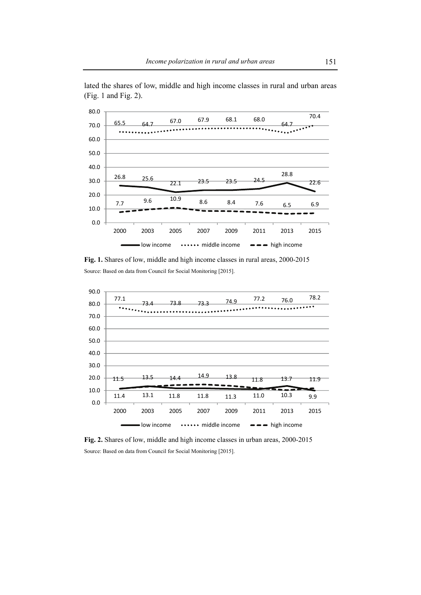

lated the shares of low, middle and high income classes in rural and urban areas (Fig. 1 and Fig. 2).

**Fig. 1.** Shares of low, middle and high income classes in rural areas, 2000-2015 Source: Based on data from Council for Social Monitoring [2015].



**Fig. 2.** Shares of low, middle and high income classes in urban areas, 2000-2015 Source: Based on data from Council for Social Monitoring [2015].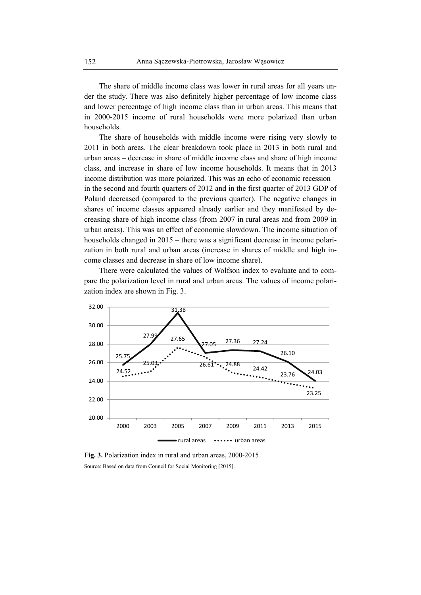The share of middle income class was lower in rural areas for all years under the study. There was also definitely higher percentage of low income class and lower percentage of high income class than in urban areas. This means that in 2000-2015 income of rural households were more polarized than urban households.

The share of households with middle income were rising very slowly to 2011 in both areas. The clear breakdown took place in 2013 in both rural and urban areas – decrease in share of middle income class and share of high income class, and increase in share of low income households. It means that in 2013 income distribution was more polarized. This was an echo of economic recession – in the second and fourth quarters of 2012 and in the first quarter of 2013 GDP of Poland decreased (compared to the previous quarter). The negative changes in shares of income classes appeared already earlier and they manifested by decreasing share of high income class (from 2007 in rural areas and from 2009 in urban areas). This was an effect of economic slowdown. The income situation of households changed in 2015 – there was a significant decrease in income polarization in both rural and urban areas (increase in shares of middle and high income classes and decrease in share of low income share).

There were calculated the values of Wolfson index to evaluate and to compare the polarization level in rural and urban areas. The values of income polarization index are shown in Fig. 3.



**Fig. 3.** Polarization index in rural and urban areas, 2000-2015 Source: Based on data from Council for Social Monitoring [2015].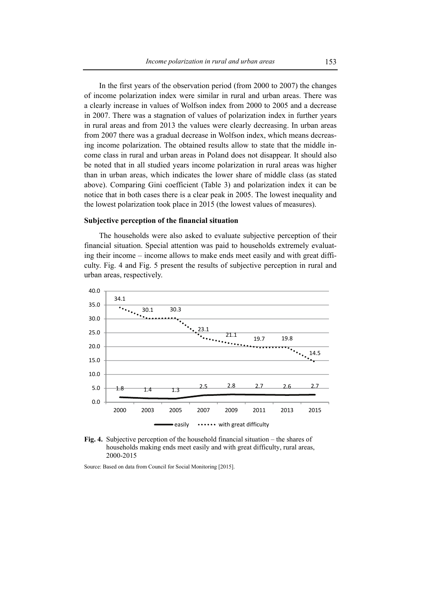In the first years of the observation period (from 2000 to 2007) the changes of income polarization index were similar in rural and urban areas. There was a clearly increase in values of Wolfson index from 2000 to 2005 and a decrease in 2007. There was a stagnation of values of polarization index in further years in rural areas and from 2013 the values were clearly decreasing. In urban areas from 2007 there was a gradual decrease in Wolfson index, which means decreasing income polarization. The obtained results allow to state that the middle income class in rural and urban areas in Poland does not disappear. It should also be noted that in all studied years income polarization in rural areas was higher than in urban areas, which indicates the lower share of middle class (as stated above). Comparing Gini coefficient (Table 3) and polarization index it can be notice that in both cases there is a clear peak in 2005. The lowest inequality and the lowest polarization took place in 2015 (the lowest values of measures).

#### **Subjective perception of the financial situation**

The households were also asked to evaluate subjective perception of their financial situation. Special attention was paid to households extremely evaluating their income – income allows to make ends meet easily and with great difficulty. Fig. 4 and Fig. 5 present the results of subjective perception in rural and urban areas, respectively.





Source: Based on data from Council for Social Monitoring [2015].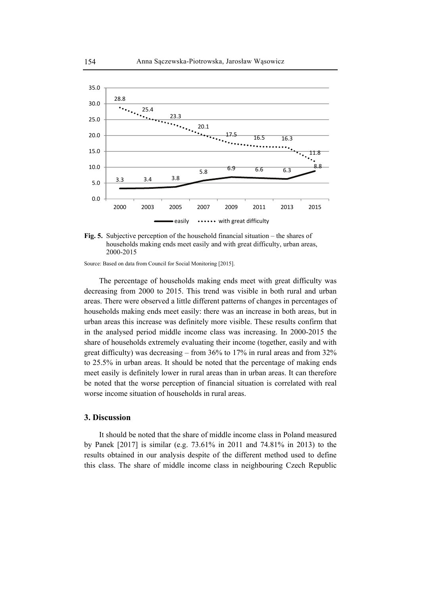



Source: Based on data from Council for Social Monitoring [2015].

The percentage of households making ends meet with great difficulty was decreasing from 2000 to 2015. This trend was visible in both rural and urban areas. There were observed a little different patterns of changes in percentages of households making ends meet easily: there was an increase in both areas, but in urban areas this increase was definitely more visible. These results confirm that in the analysed period middle income class was increasing. In 2000-2015 the share of households extremely evaluating their income (together, easily and with great difficulty) was decreasing – from 36% to 17% in rural areas and from 32% to 25.5% in urban areas. It should be noted that the percentage of making ends meet easily is definitely lower in rural areas than in urban areas. It can therefore be noted that the worse perception of financial situation is correlated with real worse income situation of households in rural areas.

#### **3. Discussion**

It should be noted that the share of middle income class in Poland measured by Panek [2017] is similar (e.g. 73.61% in 2011 and 74.81% in 2013) to the results obtained in our analysis despite of the different method used to define this class. The share of middle income class in neighbouring Czech Republic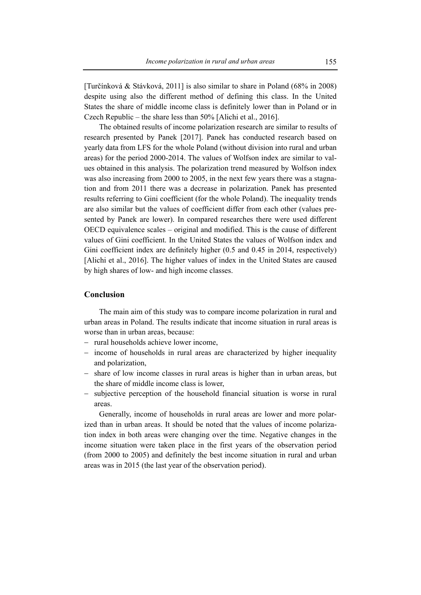[Turčínková & Stávková, 2011] is also similar to share in Poland (68% in 2008) despite using also the different method of defining this class. In the United States the share of middle income class is definitely lower than in Poland or in Czech Republic – the share less than 50% [Alichi et al., 2016].

The obtained results of income polarization research are similar to results of research presented by Panek [2017]. Panek has conducted research based on yearly data from LFS for the whole Poland (without division into rural and urban areas) for the period 2000-2014. The values of Wolfson index are similar to values obtained in this analysis. The polarization trend measured by Wolfson index was also increasing from 2000 to 2005, in the next few years there was a stagnation and from 2011 there was a decrease in polarization. Panek has presented results referring to Gini coefficient (for the whole Poland). The inequality trends are also similar but the values of coefficient differ from each other (values presented by Panek are lower). In compared researches there were used different OECD equivalence scales – original and modified. This is the cause of different values of Gini coefficient. In the United States the values of Wolfson index and Gini coefficient index are definitely higher (0.5 and 0.45 in 2014, respectively) [Alichi et al., 2016]. The higher values of index in the United States are caused by high shares of low- and high income classes.

# **Conclusion**

The main aim of this study was to compare income polarization in rural and urban areas in Poland. The results indicate that income situation in rural areas is worse than in urban areas, because:

- − rural households achieve lower income,
- − income of households in rural areas are characterized by higher inequality and polarization,
- − share of low income classes in rural areas is higher than in urban areas, but the share of middle income class is lower,
- − subjective perception of the household financial situation is worse in rural areas.

Generally, income of households in rural areas are lower and more polarized than in urban areas. It should be noted that the values of income polarization index in both areas were changing over the time. Negative changes in the income situation were taken place in the first years of the observation period (from 2000 to 2005) and definitely the best income situation in rural and urban areas was in 2015 (the last year of the observation period).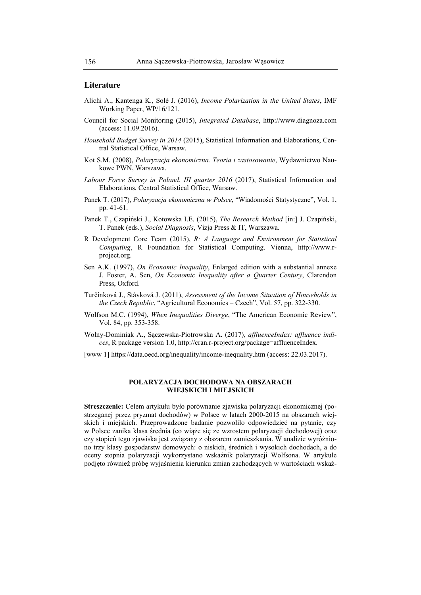#### **Literature**

- Alichi A., Kantenga K., Solé J. (2016), *Income Polarization in the United States*, IMF Working Paper, WP/16/121.
- Council for Social Monitoring (2015), *Integrated Database*, http://www.diagnoza.com (access: 11.09.2016).
- *Household Budget Survey in 2014* (2015), Statistical Information and Elaborations, Central Statistical Office, Warsaw.
- Kot S.M. (2008), *Polaryzacja ekonomiczna. Teoria i zastosowanie*, Wydawnictwo Naukowe PWN, Warszawa.
- *Labour Force Survey in Poland. III quarter 2016* (2017), Statistical Information and Elaborations, Central Statistical Office, Warsaw.
- Panek T. (2017), *Polaryzacja ekonomiczna w Polsce*, "Wiadomości Statystyczne", Vol. 1, pp. 41-61.
- Panek T., Czapiński J., Kotowska I.E. (2015), *The Research Method* [in:] J. Czapiński, T. Panek (eds.), *Social Diagnosis*, Vizja Press & IT, Warszawa.
- R Development Core Team (2015), *R: A Language and Environment for Statistical Computing*, R Foundation for Statistical Computing. Vienna, http://www.rproject.org.
- Sen A.K. (1997), *On Economic Inequality*, Enlarged edition with a substantial annexe J. Foster, A. Sen, *On Economic Inequality after a Quarter Century*, Clarendon Press, Oxford.
- Turčínková J., Stávková J. (2011), *Assessment of the Income Situation of Households in the Czech Republic*, "Agricultural Economics – Czech", Vol. 57, pp. 322-330.
- Wolfson M.C. (1994), *When Inequalities Diverge*, "The American Economic Review", Vol. 84, pp. 353-358.
- Wolny-Dominiak A., Sączewska-Piotrowska A. (2017), *affluenceIndex: affluence indices*, R package version 1.0, http://cran.r-project.org/package=affluenceIndex.
- [www 1] https://data.oecd.org/inequality/income-inequality.htm (access: 22.03.2017).

#### **POLARYZACJA DOCHODOWA NA OBSZARACH WIEJSKICH I MIEJSKICH**

**Streszczenie:** Celem artykułu było porównanie zjawiska polaryzacji ekonomicznej (postrzeganej przez pryzmat dochodów) w Polsce w latach 2000-2015 na obszarach wiejskich i miejskich. Przeprowadzone badanie pozwoliło odpowiedzieć na pytanie, czy w Polsce zanika klasa średnia (co wiąże się ze wzrostem polaryzacji dochodowej) oraz czy stopień tego zjawiska jest związany z obszarem zamieszkania. W analizie wyróżniono trzy klasy gospodarstw domowych: o niskich, średnich i wysokich dochodach, a do oceny stopnia polaryzacji wykorzystano wskaźnik polaryzacji Wolfsona. W artykule podjęto również próbę wyjaśnienia kierunku zmian zachodzących w wartościach wskaź